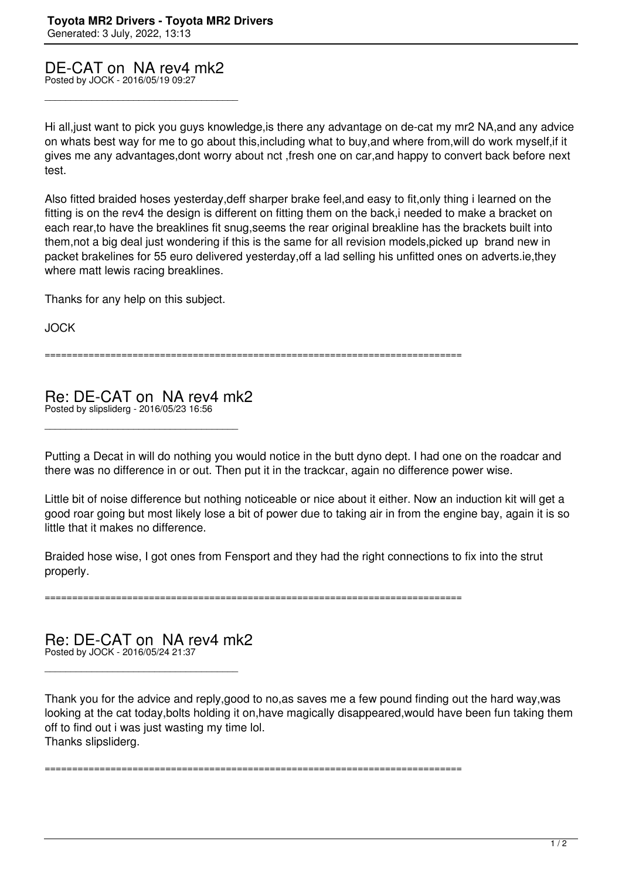DE-CAT on NA rev4 mk2

\_\_\_\_\_\_\_\_\_\_\_\_\_\_\_\_\_\_\_\_\_\_\_\_\_\_\_\_\_\_\_\_\_\_\_\_\_

Posted by JOCK - 2016/05/19 09:27

Hi all,just want to pick you guys knowledge,is there any advantage on de-cat my mr2 NA,and any advice on whats best way for me to go about this,including what to buy,and where from,will do work myself,if it gives me any advantages,dont worry about nct ,fresh one on car,and happy to convert back before next test.

Also fitted braided hoses yesterday,deff sharper brake feel,and easy to fit,only thing i learned on the fitting is on the rev4 the design is different on fitting them on the back,i needed to make a bracket on each rear,to have the breaklines fit snug,seems the rear original breakline has the brackets built into them,not a big deal just wondering if this is the same for all revision models,picked up brand new in packet brakelines for 55 euro delivered yesterday,off a lad selling his unfitted ones on adverts.ie,they where matt lewis racing breaklines.

Thanks for any help on this subject.

JOCK

============================================================================

Re: DE-CAT on NA rev4 mk2 Posted by slipsliderg - 2016/05/23 16:56

\_\_\_\_\_\_\_\_\_\_\_\_\_\_\_\_\_\_\_\_\_\_\_\_\_\_\_\_\_\_\_\_\_\_\_\_\_

Putting a Decat in will do nothing you would notice in the butt dyno dept. I had one on the roadcar and there was no difference in or out. Then put it in the trackcar, again no difference power wise.

Little bit of noise difference but nothing noticeable or nice about it either. Now an induction kit will get a good roar going but most likely lose a bit of power due to taking air in from the engine bay, again it is so little that it makes no difference.

Braided hose wise, I got ones from Fensport and they had the right connections to fix into the strut properly.

============================================================================

Re: DE-CAT on NA rev4 mk2

\_\_\_\_\_\_\_\_\_\_\_\_\_\_\_\_\_\_\_\_\_\_\_\_\_\_\_\_\_\_\_\_\_\_\_\_\_

Posted by JOCK - 2016/05/24 21:37

Thank you for the advice and reply,good to no,as saves me a few pound finding out the hard way,was looking at the cat today,bolts holding it on,have magically disappeared,would have been fun taking them off to find out i was just wasting my time lol. Thanks slipsliderg.

============================================================================